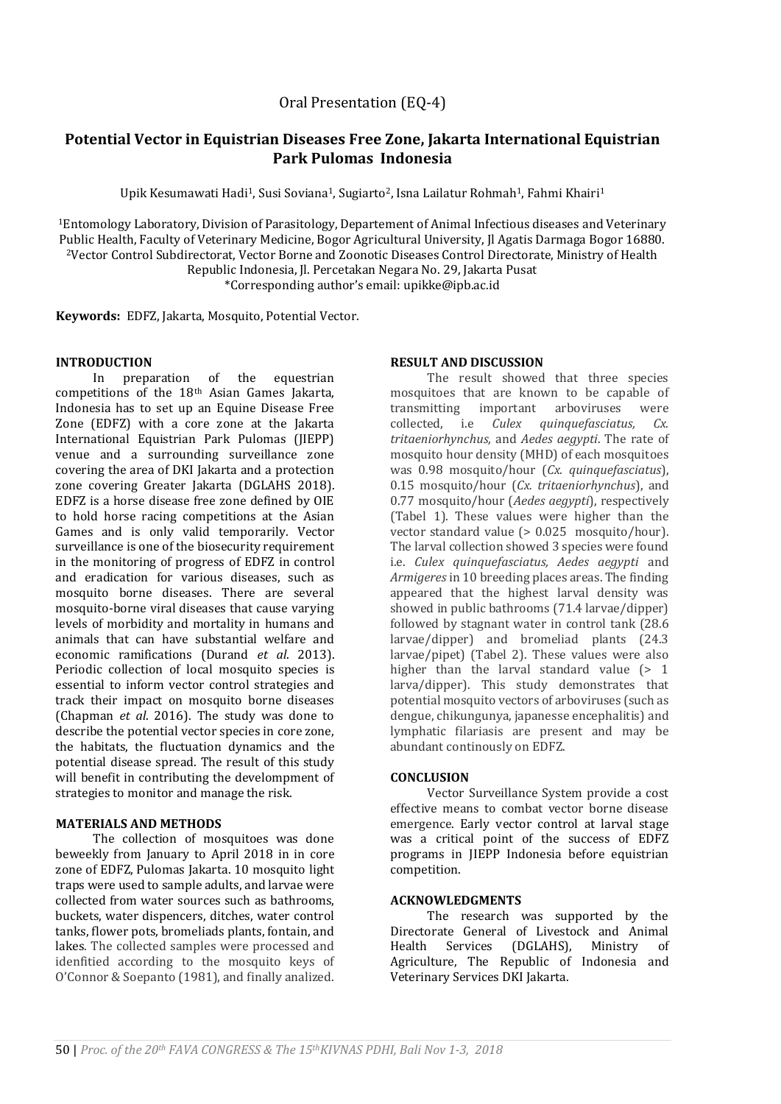Oral Presentation (EQ-4)

# **Potential Vector in Equistrian Diseases Free Zone, Jakarta International Equistrian Park Pulomas Indonesia**

Upik Kesumawati Hadi<sup>1</sup>, Susi Soviana<sup>1</sup>, Sugiarto<sup>2</sup>, Isna Lailatur Rohmah<sup>1</sup>, Fahmi Khairi<sup>1</sup>

<sup>1</sup>Entomology Laboratory, Division of Parasitology, Departement of Animal Infectious diseases and Veterinary Public Health, Faculty of Veterinary Medicine, Bogor Agricultural University, Jl Agatis Darmaga Bogor 16880. <sup>2</sup>Vector Control Subdirectorat, Vector Borne and Zoonotic Diseases Control Directorate, Ministry of Health Republic Indonesia, Jl. Percetakan Negara No. 29, Jakarta Pusat \*Corresponding author's email: upikke@ipb.ac.id

**Keywords:** EDFZ, Jakarta, Mosquito, Potential Vector.

# **INTRODUCTION**

In preparation of the equestrian competitions of the 18th Asian Games Jakarta, Indonesia has to set up an Equine Disease Free Zone (EDFZ) with a core zone at the Jakarta International Equistrian Park Pulomas (JIEPP) venue and a surrounding surveillance zone covering the area of DKI Jakarta and a protection zone covering Greater Jakarta (DGLAHS 2018). EDFZ is a horse disease free zone defined by OIE to hold horse racing competitions at the Asian Games and is only valid temporarily. Vector surveillance is one of the biosecurity requirement in the monitoring of progress of EDFZ in control and eradication for various diseases, such as mosquito borne diseases. There are several mosquito-borne viral diseases that cause varying levels of morbidity and mortality in humans and animals that can have substantial welfare and economic ramifications (Durand *et al*. 2013). Periodic collection of local mosquito species is essential to inform vector control strategies and track their impact on mosquito borne diseases (Chapman *et al*. 2016). The study was done to describe the potential vector species in core zone, the habitats, the fluctuation dynamics and the potential disease spread. The result of this study will benefit in contributing the develompment of strategies to monitor and manage the risk.

### **MATERIALS AND METHODS**

The collection of mosquitoes was done beweekly from January to April 2018 in in core zone of EDFZ, Pulomas Jakarta. 10 mosquito light traps were used to sample adults, and larvae were collected from water sources such as bathrooms, buckets, water dispencers, ditches, water control tanks, flower pots, bromeliads plants, fontain, and lakes. The collected samples were processed and idenfitied according to the mosquito keys of O'Connor & Soepanto (1981), and finally analized.

# **RESULT AND DISCUSSION**

The result showed that three species mosquitoes that are known to be capable of transmitting important arboviruses were collected, i.e *Culex quinquefasciatus, Cx. tritaeniorhynchus,* and *Aedes aegypti*. The rate of mosquito hour density (MHD) of each mosquitoes was 0.98 mosquito/hour (*Cx. quinquefasciatus*), 0.15 mosquito/hour (*Cx. tritaeniorhynchus*), and 0.77 mosquito/hour (*Aedes aegypti*), respectively (Tabel 1). These values were higher than the vector standard value (> 0.025 mosquito/hour). The larval collection showed 3 species were found i.e. *Culex quinquefasciatus, Aedes aegypti* and *Armigeres* in 10 breeding places areas. The finding appeared that the highest larval density was showed in public bathrooms (71.4 larvae/dipper) followed by stagnant water in control tank (28.6 larvae/dipper) and bromeliad plants (24.3 larvae/pipet) (Tabel 2). These values were also higher than the larval standard value  $(> 1)$ larva/dipper). This study demonstrates that potential mosquito vectors of arboviruses (such as dengue, chikungunya, japanesse encephalitis) and lymphatic filariasis are present and may be abundant continously on EDFZ.

### **CONCLUSION**

Vector Surveillance System provide a cost effective means to combat vector borne disease emergence. Early vector control at larval stage was a critical point of the success of EDFZ programs in JIEPP Indonesia before equistrian competition.

### **ACKNOWLEDGMENTS**

The research was supported by the Directorate General of Livestock and Animal Health Services (DGLAHS), Ministry of Agriculture, The Republic of Indonesia and Veterinary Services DKI Jakarta.